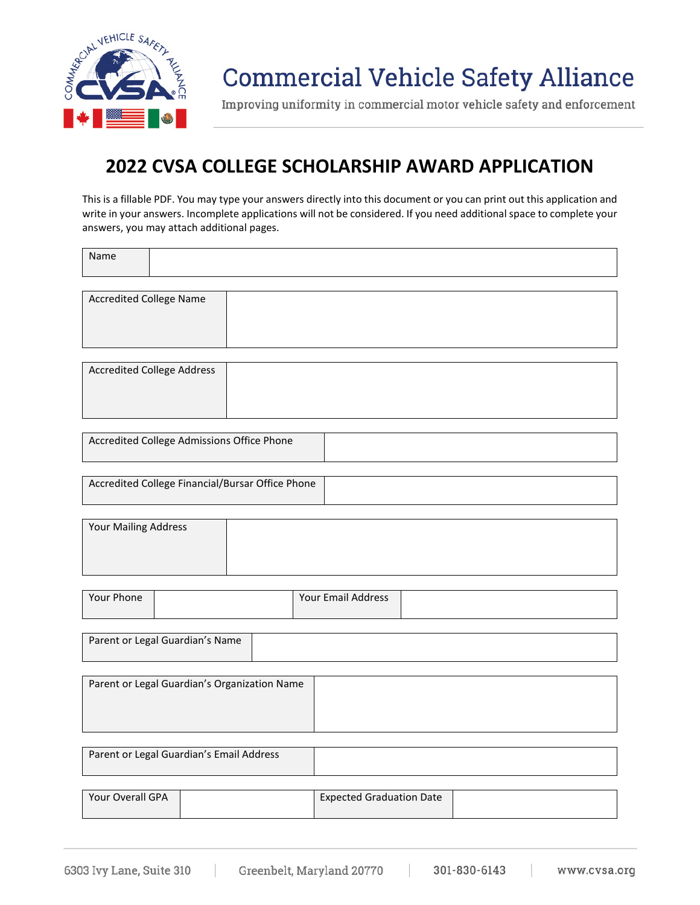

# **Commercial Vehicle Safety Alliance**

Improving uniformity in commercial motor vehicle safety and enforcement

## **2022 CVSA COLLEGE SCHOLARSHIP AWARD APPLICATION**

This is a fillable PDF. You may type your answers directly into this document or you can print out this application and write in your answers. Incomplete applications will not be considered. If you need additional space to complete your answers, you may attach additional pages.

Name

| <b>Accredited College Name</b> |  |
|--------------------------------|--|
|                                |  |
|                                |  |
|                                |  |
|                                |  |
|                                |  |

| <b>Accredited College Address</b> |  |
|-----------------------------------|--|
|                                   |  |
|                                   |  |
|                                   |  |

| Accredited College Admissions Office Phone |  |
|--------------------------------------------|--|
|                                            |  |

| Accredited College Financial/Bursar Office Phone |  |
|--------------------------------------------------|--|
|                                                  |  |

| <b>Your Mailing Address</b> |  |
|-----------------------------|--|
|                             |  |
|                             |  |
|                             |  |

| Your Email Address<br>Your Phone |  |
|----------------------------------|--|
|----------------------------------|--|

| Parent or Legal Guardian's Name |  |
|---------------------------------|--|
|                                 |  |

| Parent or Legal Guardian's Organization Name |  |
|----------------------------------------------|--|
|                                              |  |
|                                              |  |
|                                              |  |

| Parent or Legal Guardian's Email Address |  |
|------------------------------------------|--|
|                                          |  |

| Your Overall GPA | <b>Expected Graduation Date</b> |  |
|------------------|---------------------------------|--|
|                  |                                 |  |

6303 Ivy Lane, Suite 310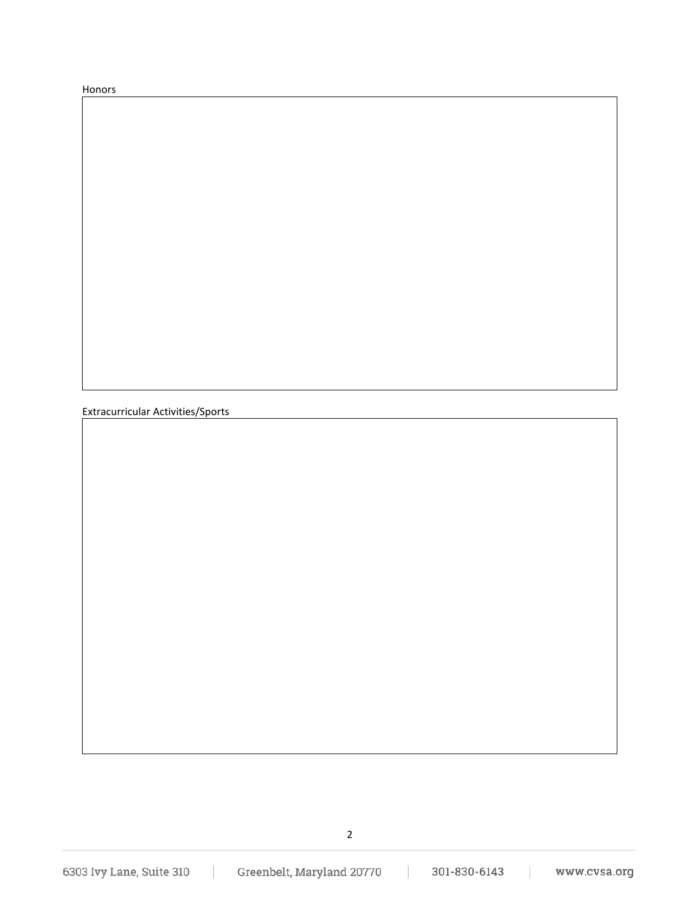Honors

Extracurricular Activities/Sports

2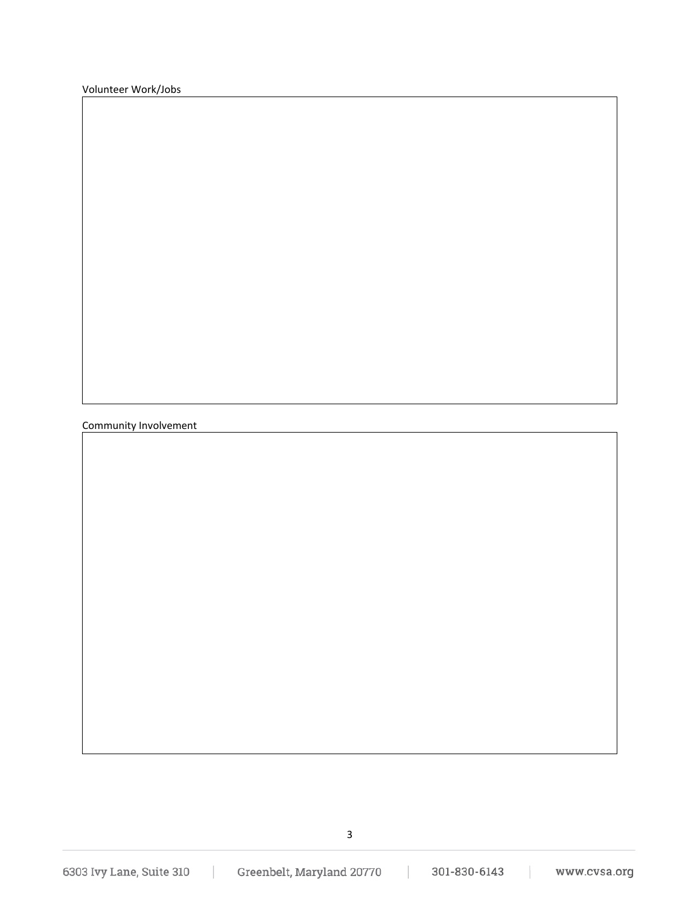Volunteer Work/Jobs

Community Involvement

3